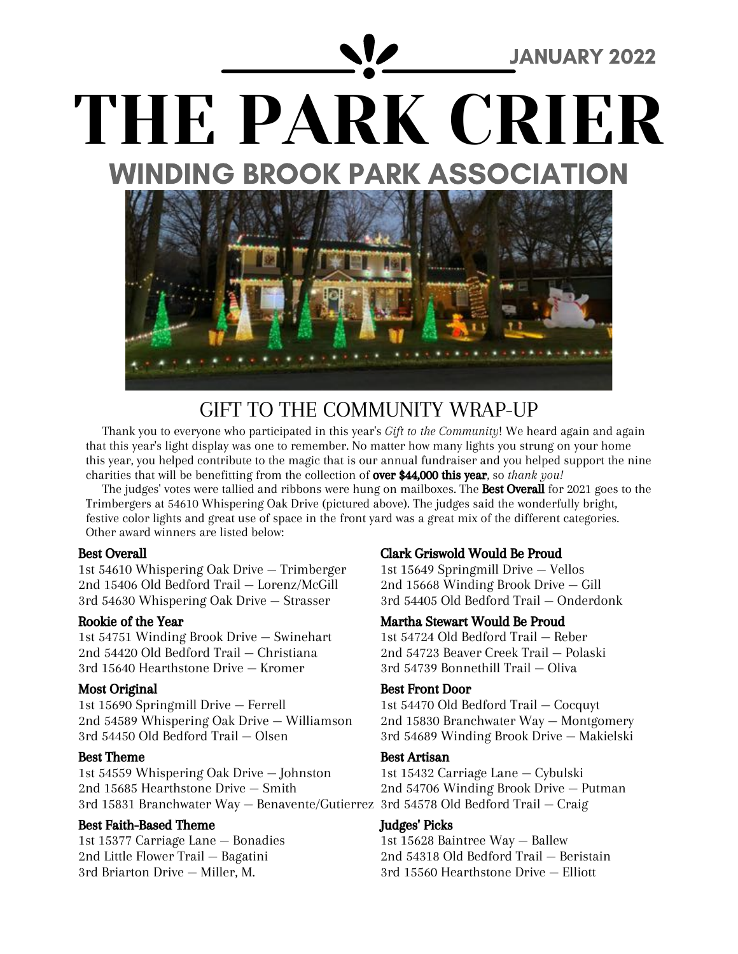

### GIFT TO THE COMMUNITY WRAP-UP

Thank you to everyone who participated in this year's *Gift to the Community*! We heard again and again that this year's light display was one to remember. No matter how many lights you strung on your home this year, you helped contribute to the magic that is our annual fundraiser and you helped support the nine charities that will be benefitting from the collection of over \$44,000 this year, so *thank you!*

The judges' votes were tallied and ribbons were hung on mailboxes. The **Best Overall** for 2021 goes to the Trimbergers at 54610 Whispering Oak Drive (pictured above). The judges said the wonderfully bright, festive color lights and great use of space in the front yard was a great mix of the different categories. Other award winners are listed below:

#### Best Overall

1st 54610 Whispering Oak Drive — Trimberger 2nd 15406 Old Bedford Trail — Lorenz/McGill 3rd 54630 Whispering Oak Drive — Strasser

#### Rookie of the Year

1st 54751 Winding Brook Drive — Swinehart 2nd 54420 Old Bedford Trail — Christiana 3rd 15640 Hearthstone Drive — Kromer

### Most Original

1st 15690 Springmill Drive — Ferrell 2nd 54589 Whispering Oak Drive — Williamson 3rd 54450 Old Bedford Trail — Olsen

### Best Theme

1st 54559 Whispering Oak Drive — Johnston 2nd 15685 Hearthstone Drive — Smith 3rd 15831 Branchwater Way — Benavente/Gutierrez 3rd 54578 Old Bedford Trail — Craig

### Best Faith-Based Theme

1st 15377 Carriage Lane — Bonadies 2nd Little Flower Trail — Bagatini 3rd Briarton Drive — Miller, M.

### Clark Griswold Would Be Proud

1st 15649 Springmill Drive — Vellos 2nd 15668 Winding Brook Drive — Gill 3rd 54405 Old Bedford Trail — Onderdonk

### Martha Stewart Would Be Proud

1st 54724 Old Bedford Trail — Reber 2nd 54723 Beaver Creek Trail — Polaski 3rd 54739 Bonnethill Trail — Oliva

#### Best Front Door

1st 54470 Old Bedford Trail — Cocquyt 2nd 15830 Branchwater Way — Montgomery 3rd 54689 Winding Brook Drive — Makielski

### Best Artisan

1st 15432 Carriage Lane — Cybulski 2nd 54706 Winding Brook Drive — Putman

#### Judges' Picks

1st 15628 Baintree Way — Ballew 2nd 54318 Old Bedford Trail — Beristain 3rd 15560 Hearthstone Drive — Elliott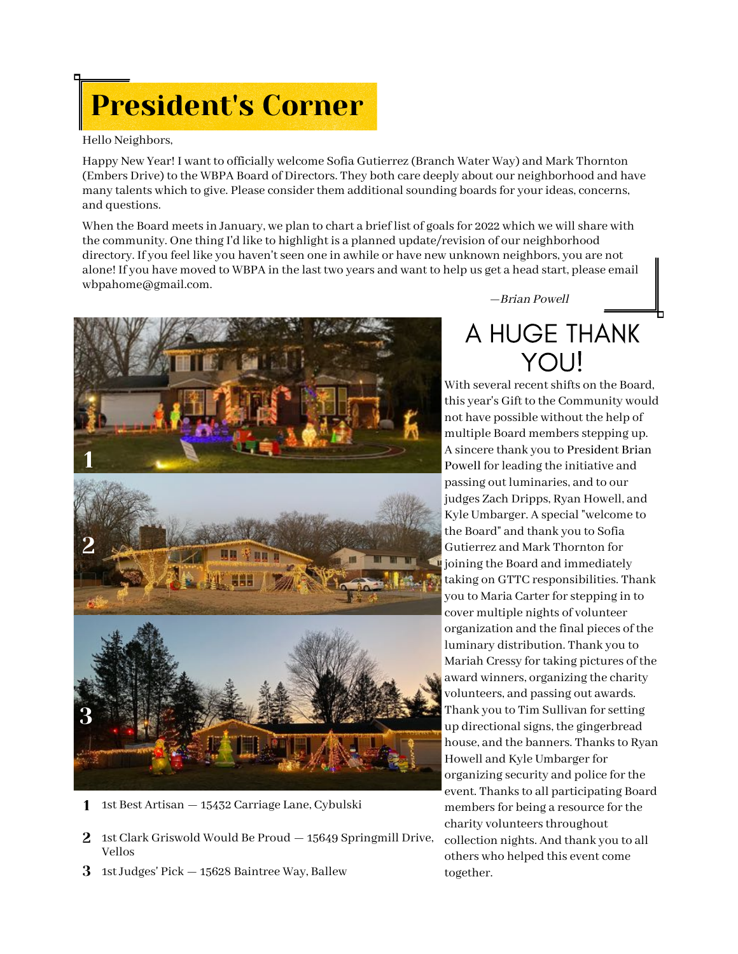# President's Corner

#### Hello Neighbors,

Happy New Year! I want to officially welcome Sofia Gutierrez (Branch Water Way) and Mark Thornton (Embers Drive) to the WBPA Board of Directors. They both care deeply about our neighborhood and have many talents which to give. Please consider them additional sounding boards for your ideas, concerns, and questions.

When the Board meets in January, we plan to chart a brief list of goals for 2022 which we will share with the community. One thing I'd like to highlight is a planned update/revision of our neighborhood directory. If you feel like you haven'tseen one in awhile or have new unknown neighbors, you are not alone! If you have moved to WBPA in the last two years and want to help us get a head start, please email [wbpahome@gmail.com](mailto:wbpahome@gmail.com).



- 1 1st Best Artisan 15432 Carriage Lane, Cybulski
- 2 1st Clark Griswold Would Be Proud 15649 Springmill Drive, Vellos
- $3$   $\,$  1st Judges' Pick  $-$  15628 Baintree Way, Ballew

—Brian Powell

## A HUGE THANK **YOU!**

With several recent shifts on the Board, this year's Gift to the Community would not have possible without the help of multiple Board members stepping up. A sincere thank you to President Brian Powell for leading the initiative and passing out luminaries, and to our judges Zach Dripps, Ryan Howell, and Kyle Umbarger. A special "welcome to the Board" and thank you to Sofia Gutierrez and Mark Thornton for joining the Board and immediately taking on GTTC responsibilities. Thank you to Maria Carter for stepping in to cover multiple nights of volunteer organization and the final pieces of the luminary distribution. Thank you to Mariah Cressy for taking pictures of the award winners, organizing the charity volunteers, and passing out awards. Thank you to Tim Sullivan forsetting up directional signs, the gingerbread house, and the banners. Thanks to Ryan Howell and Kyle Umbarger for organizing security and police forthe event. Thanks to all participating Board members for being a resource for the charity volunteers throughout collection nights. And thank you to all others who helped this event come together.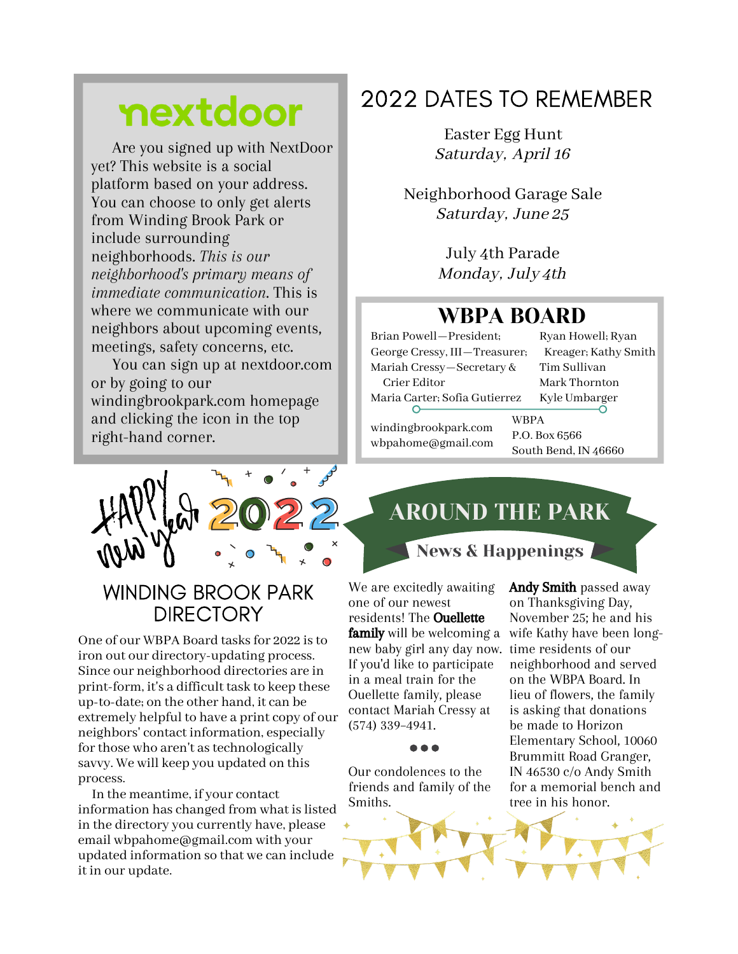## nextdoor

Are you signed up with NextDoor yet? This website is a social platform based on your address. You can choose to only get alerts from Winding Brook Park or include surrounding neighborhoods. *This is our neighborhood's primary means of immediate communication*. This is where we communicate with our neighbors about upcoming events, meetings, safety concerns, etc.

You can sign up at nextdoor.com or by going to our windingbrookpark.com homepage and clicking the icon in the top right-hand corner.

### 2022 DATES TO REMEMBER

Easter Egg Hunt Saturday, April 16

Neighborhood Garage Sale Saturday, June 25

> July 4th Parade Monday, July 4th

### WBPA BOARD

Brian Powell—President; George Cressy, III—Treasurer; Mariah Cressy—Secretary & Crier Editor Maria Carter; Sofia Gutierrez Ryan Howell; Ryan Kreager; Kathy Smith Tim Sullivan Mark Thornton Kyle Umbarger windingbrookpark.com WBPA P.O. Box 6566

wbpahome@gmail.com South Bend, IN 46660

AROUND THE PARK

News & Happenings



### **WINDING BROOK PARK DIRECTORY**

One of our WBPA Board tasks for 2022 is to iron out our directory-updating process. Since our neighborhood directories are in print-form, it's a difficult task to keep these up-to-date; on the other hand, it can be extremely helpful to have a print copy of our neighbors' contact information, especially for those who aren't as technologically savvy. We will keep you updated on this process.

 In the meantime, if your contact information has changed from what is listed in the directory you currently have, please email wbpahome@gmail.com with your updated information so that we can include it in our update.

We are excitedly awaiting one of our newest residents! The Ouellette **family** will be welcoming a new baby girl any day now. If you'd like to participate in a meal train for the Ouellette family, please contact Mariah Cressy at (574) 339–4941.

Our condolences to the friends and family of the Smiths.

Andy Smith passed away on Thanksgiving Day, November 25; he and his wife Kathy have been longtime residents of our neighborhood and served on the WBPA Board. In lieu of flowers, the family is asking that donations be made to Horizon Elementary School, 10060 Brummitt Road Granger, IN 46530 c/o Andy Smith for a memorial bench and tree in his honor.